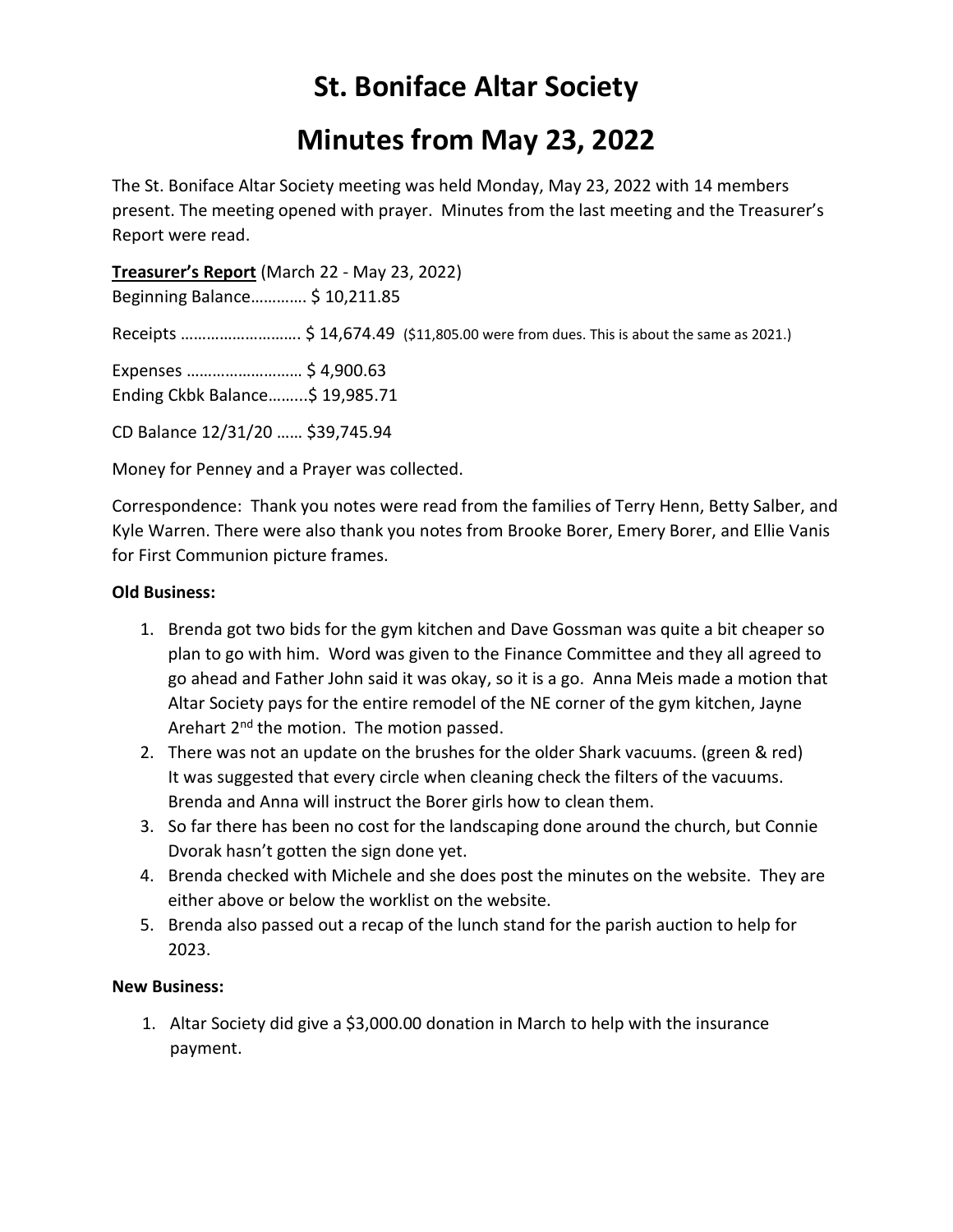# **St. Boniface Altar Society**

## **Minutes from May 23, 2022**

The St. Boniface Altar Society meeting was held Monday, May 23, 2022 with 14 members present. The meeting opened with prayer. Minutes from the last meeting and the Treasurer's Report were read.

**Treasurer's Report** (March 22 - May 23, 2022)

Beginning Balance…………. \$ 10,211.85

Receipts ………………………. \$ 14,674.49 (\$11,805.00 were from dues. This is about the same as 2021.)

Expenses ……………………… \$ 4,900.63 Ending Ckbk Balance……...\$ 19,985.71

CD Balance 12/31/20 …… \$39,745.94

Money for Penney and a Prayer was collected.

Correspondence: Thank you notes were read from the families of Terry Henn, Betty Salber, and Kyle Warren. There were also thank you notes from Brooke Borer, Emery Borer, and Ellie Vanis for First Communion picture frames.

### **Old Business:**

- 1. Brenda got two bids for the gym kitchen and Dave Gossman was quite a bit cheaper so plan to go with him. Word was given to the Finance Committee and they all agreed to go ahead and Father John said it was okay, so it is a go. Anna Meis made a motion that Altar Society pays for the entire remodel of the NE corner of the gym kitchen, Jayne Arehart 2<sup>nd</sup> the motion. The motion passed.
- 2. There was not an update on the brushes for the older Shark vacuums. (green & red) It was suggested that every circle when cleaning check the filters of the vacuums. Brenda and Anna will instruct the Borer girls how to clean them.
- 3. So far there has been no cost for the landscaping done around the church, but Connie Dvorak hasn't gotten the sign done yet.
- 4. Brenda checked with Michele and she does post the minutes on the website. They are either above or below the worklist on the website.
- 5. Brenda also passed out a recap of the lunch stand for the parish auction to help for 2023.

### **New Business:**

1. Altar Society did give a \$3,000.00 donation in March to help with the insurance payment.